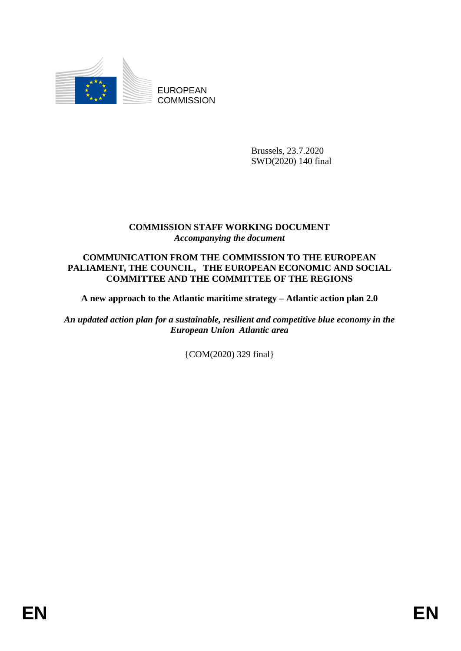

EUROPEAN **COMMISSION** 

> Brussels, 23.7.2020 SWD(2020) 140 final

# **COMMISSION STAFF WORKING DOCUMENT** *Accompanying the document*

## **COMMUNICATION FROM THE COMMISSION TO THE EUROPEAN PALIAMENT, THE COUNCIL, THE EUROPEAN ECONOMIC AND SOCIAL COMMITTEE AND THE COMMITTEE OF THE REGIONS**

**A new approach to the Atlantic maritime strategy – Atlantic action plan 2.0** 

*An updated action plan for a sustainable, resilient and competitive blue economy in the European Union Atlantic area*

{COM(2020) 329 final}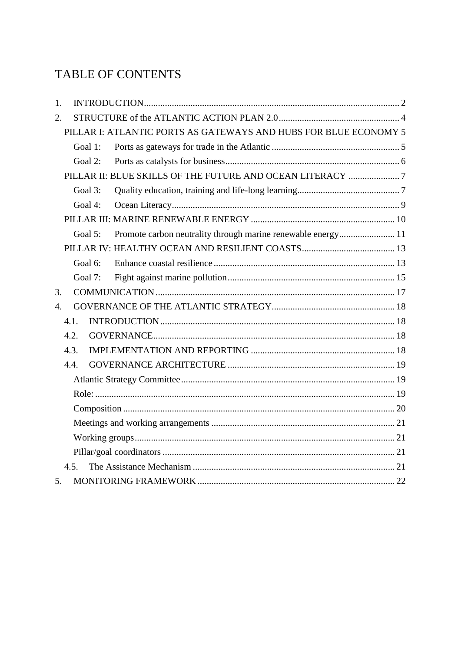# TABLE OF CONTENTS

| 1.                   |            |                                                                  |  |
|----------------------|------------|------------------------------------------------------------------|--|
| 2.                   |            |                                                                  |  |
|                      |            | PILLAR I: ATLANTIC PORTS AS GATEWAYS AND HUBS FOR BLUE ECONOMY 5 |  |
|                      | Goal 1:    |                                                                  |  |
|                      | Goal 2:    |                                                                  |  |
|                      |            | PILLAR II: BLUE SKILLS OF THE FUTURE AND OCEAN LITERACY 7        |  |
|                      | Goal 3:    |                                                                  |  |
|                      | Goal 4:    |                                                                  |  |
|                      |            |                                                                  |  |
|                      | Goal $5$ : | Promote carbon neutrality through marine renewable energy 11     |  |
|                      |            |                                                                  |  |
|                      | Goal 6:    |                                                                  |  |
|                      | Goal 7:    |                                                                  |  |
| 3.                   |            |                                                                  |  |
| $\mathbf{4}_{\cdot}$ |            |                                                                  |  |
| 4.1.                 |            |                                                                  |  |
| 4.2.                 |            |                                                                  |  |
| 4.3.                 |            |                                                                  |  |
| 4.4.                 |            |                                                                  |  |
|                      |            |                                                                  |  |
|                      |            |                                                                  |  |
|                      |            |                                                                  |  |
|                      |            |                                                                  |  |
|                      |            |                                                                  |  |
|                      |            |                                                                  |  |
|                      | 4.5.       |                                                                  |  |
| 5.                   |            |                                                                  |  |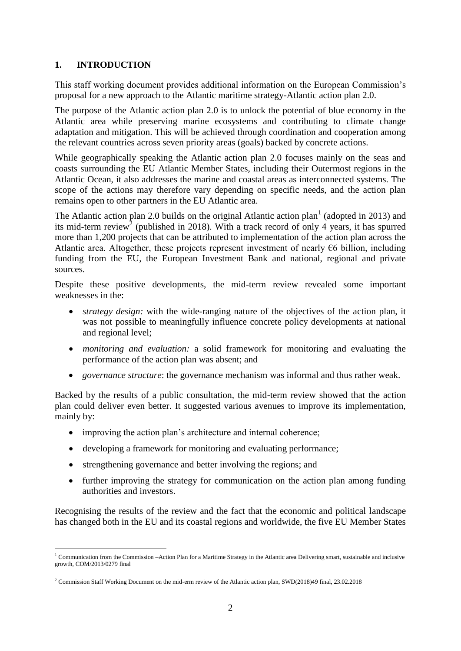## <span id="page-2-0"></span>**1. INTRODUCTION**

This staff working document provides additional information on the European Commission's proposal for a new approach to the Atlantic maritime strategy-Atlantic action plan 2.0.

The purpose of the Atlantic action plan 2.0 is to unlock the potential of blue economy in the Atlantic area while preserving marine ecosystems and contributing to climate change adaptation and mitigation. This will be achieved through coordination and cooperation among the relevant countries across seven priority areas (goals) backed by concrete actions.

While geographically speaking the Atlantic action plan 2.0 focuses mainly on the seas and coasts surrounding the EU Atlantic Member States, including their Outermost regions in the Atlantic Ocean, it also addresses the marine and coastal areas as interconnected systems. The scope of the actions may therefore vary depending on specific needs, and the action plan remains open to other partners in the EU Atlantic area.

The Atlantic action plan 2.0 builds on the original Atlantic action plan<sup>1</sup> (adopted in 2013) and its mid-term review<sup>2</sup> (published in 2018). With a track record of only 4 years, it has spurred more than 1,200 projects that can be attributed to implementation of the action plan across the Atlantic area. Altogether, these projects represent investment of nearly  $\epsilon$ 6 billion, including funding from the EU, the European Investment Bank and national, regional and private sources.

Despite these positive developments, the mid-term review revealed some important weaknesses in the:

- *strategy design:* with the wide-ranging nature of the objectives of the action plan, it was not possible to meaningfully influence concrete policy developments at national and regional level;
- *monitoring and evaluation:* a solid framework for monitoring and evaluating the performance of the action plan was absent; and
- *governance structure*: the governance mechanism was informal and thus rather weak.

Backed by the results of a public consultation, the mid-term review showed that the action plan could deliver even better. It suggested various avenues to improve its implementation, mainly by:

- improving the action plan's architecture and internal coherence;
- developing a framework for monitoring and evaluating performance;
- strengthening governance and better involving the regions; and
- further improving the strategy for communication on the action plan among funding authorities and investors.

Recognising the results of the review and the fact that the economic and political landscape has changed both in the EU and its coastal regions and worldwide, the five EU Member States

<sup>1</sup>  $1$  Communication from the Commission –Action Plan for a Maritime Strategy in the Atlantic area Delivering smart, sustainable and inclusive growth, COM/2013/0279 final

<sup>2</sup> Commission Staff Working Document on the mid-erm review of the Atlantic action plan, SWD(2018)49 final, 23.02.2018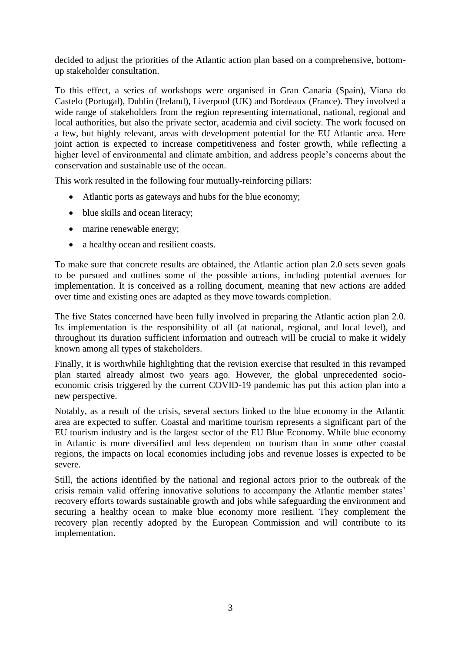decided to adjust the priorities of the Atlantic action plan based on a comprehensive, bottomup stakeholder consultation.

To this effect, a series of workshops were organised in Gran Canaria (Spain), Viana do Castelo (Portugal), Dublin (Ireland), Liverpool (UK) and Bordeaux (France). They involved a wide range of stakeholders from the region representing international, national, regional and local authorities, but also the private sector, academia and civil society. The work focused on a few, but highly relevant, areas with development potential for the EU Atlantic area. Here joint action is expected to increase competitiveness and foster growth, while reflecting a higher level of environmental and climate ambition, and address people's concerns about the conservation and sustainable use of the ocean.

This work resulted in the following four mutually-reinforcing pillars:

- Atlantic ports as gateways and hubs for the blue economy;
- blue skills and ocean literacy;
- marine renewable energy;
- a healthy ocean and resilient coasts.

To make sure that concrete results are obtained, the Atlantic action plan 2.0 sets seven goals to be pursued and outlines some of the possible actions, including potential avenues for implementation. It is conceived as a rolling document, meaning that new actions are added over time and existing ones are adapted as they move towards completion.

The five States concerned have been fully involved in preparing the Atlantic action plan 2.0. Its implementation is the responsibility of all (at national, regional, and local level), and throughout its duration sufficient information and outreach will be crucial to make it widely known among all types of stakeholders.

Finally, it is worthwhile highlighting that the revision exercise that resulted in this revamped plan started already almost two years ago. However, the global unprecedented socioeconomic crisis triggered by the current COVID-19 pandemic has put this action plan into a new perspective.

Notably, as a result of the crisis, several sectors linked to the blue economy in the Atlantic area are expected to suffer. Coastal and maritime tourism represents a significant part of the EU tourism industry and is the largest sector of the EU Blue Economy. While blue economy in Atlantic is more diversified and less dependent on tourism than in some other coastal regions, the impacts on local economies including jobs and revenue losses is expected to be severe.

Still, the actions identified by the national and regional actors prior to the outbreak of the crisis remain valid offering innovative solutions to accompany the Atlantic member states' recovery efforts towards sustainable growth and jobs while safeguarding the environment and securing a healthy ocean to make blue economy more resilient. They complement the recovery plan recently adopted by the European Commission and will contribute to its implementation.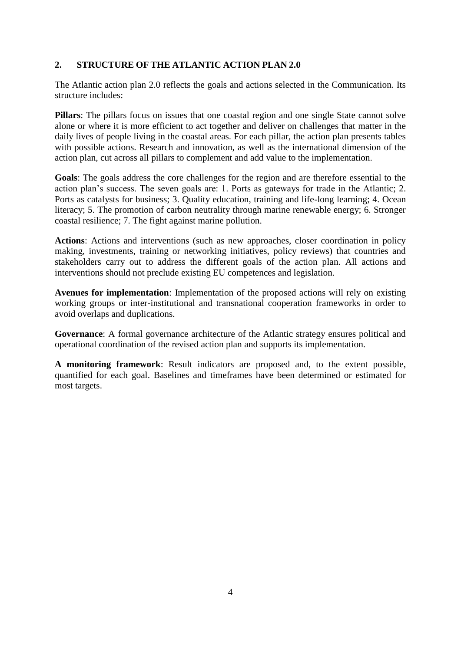## <span id="page-4-0"></span>**2. STRUCTURE OF THE ATLANTIC ACTION PLAN 2.0**

The Atlantic action plan 2.0 reflects the goals and actions selected in the Communication. Its structure includes:

**Pillars**: The pillars focus on issues that one coastal region and one single State cannot solve alone or where it is more efficient to act together and deliver on challenges that matter in the daily lives of people living in the coastal areas. For each pillar, the action plan presents tables with possible actions. Research and innovation, as well as the international dimension of the action plan, cut across all pillars to complement and add value to the implementation.

**Goals**: The goals address the core challenges for the region and are therefore essential to the action plan's success. The seven goals are: 1. Ports as gateways for trade in the Atlantic; 2. Ports as catalysts for business; 3. Quality education, training and life-long learning; 4. Ocean literacy; 5. The promotion of carbon neutrality through marine renewable energy; 6. Stronger coastal resilience; 7. The fight against marine pollution.

**Actions**: Actions and interventions (such as new approaches, closer coordination in policy making, investments, training or networking initiatives, policy reviews) that countries and stakeholders carry out to address the different goals of the action plan. All actions and interventions should not preclude existing EU competences and legislation.

**Avenues for implementation**: Implementation of the proposed actions will rely on existing working groups or inter-institutional and transnational cooperation frameworks in order to avoid overlaps and duplications.

**Governance**: A formal governance architecture of the Atlantic strategy ensures political and operational coordination of the revised action plan and supports its implementation.

**A monitoring framework**: Result indicators are proposed and, to the extent possible, quantified for each goal. Baselines and timeframes have been determined or estimated for most targets.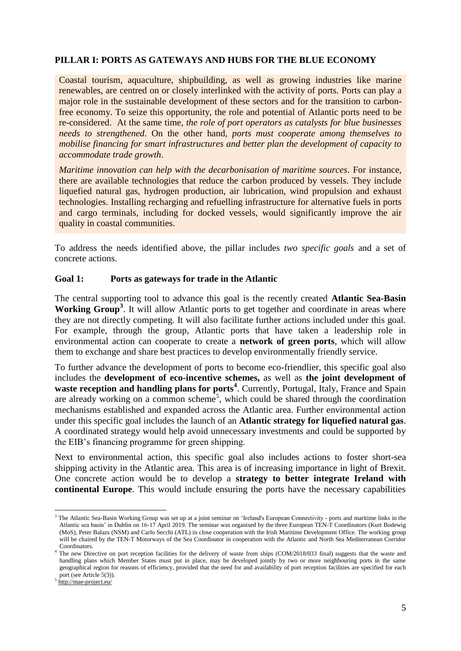## <span id="page-5-0"></span>**PILLAR I: PORTS AS GATEWAYS AND HUBS FOR THE BLUE ECONOMY**

Coastal tourism, aquaculture, shipbuilding, as well as growing industries like marine renewables, are centred on or closely interlinked with the activity of ports. Ports can play a major role in the sustainable development of these sectors and for the transition to carbonfree economy. To seize this opportunity, the role and potential of Atlantic ports need to be re-considered. At the same time, *the role of port operators as catalysts for blue businesses needs to strengthened*. On the other hand, *ports must cooperate among themselves to mobilise financing for smart infrastructures and better plan the development of capacity to accommodate trade growth*.

*Maritime innovation can help with the decarbonisation of maritime sources*. For instance, there are available technologies that reduce the carbon produced by vessels. They include liquefied natural gas, hydrogen production, air lubrication, wind propulsion and exhaust technologies. Installing recharging and refuelling infrastructure for alternative fuels in ports and cargo terminals, including for docked vessels, would significantly improve the air quality in coastal communities.

To address the needs identified above, the pillar includes *two specific goals* and a set of concrete actions.

## <span id="page-5-1"></span>**Goal 1: Ports as gateways for trade in the Atlantic**

The central supporting tool to advance this goal is the recently created **Atlantic Sea-Basin**  Working Group<sup>3</sup>. It will allow Atlantic ports to get together and coordinate in areas where they are not directly competing. It will also facilitate further actions included under this goal. For example, through the group, Atlantic ports that have taken a leadership role in environmental action can cooperate to create a **network of green ports**, which will allow them to exchange and share best practices to develop environmentally friendly service.

To further advance the development of ports to become eco-friendlier, this specific goal also includes the **development of eco-incentive schemes,** as well as **the joint development of**  waste reception and handling plans for ports<sup>4</sup>. Currently, Portugal, Italy, France and Spain are already working on a common scheme<sup>5</sup>, which could be shared through the coordination mechanisms established and expanded across the Atlantic area. Further environmental action under this specific goal includes the launch of an **Atlantic strategy for liquefied natural gas**. A coordinated strategy would help avoid unnecessary investments and could be supported by the EIB's financing programme for green shipping.

Next to environmental action, this specific goal also includes actions to foster short-sea shipping activity in the Atlantic area. This area is of increasing importance in light of Brexit. One concrete action would be to develop a **strategy to better integrate Ireland with continental Europe**. This would include ensuring the ports have the necessary capabilities

1

<sup>&</sup>lt;sup>3</sup> The Atlantic Sea-Basin Working Group was set up at a joint seminar on 'Ireland's European Connectivity - ports and maritime links in the Atlantic sea basin' in Dublin on 16-17 April 2019. The seminar was organised by the three European TEN-T Coordinators (Kurt Bodewig (MoS), Peter Balazs (NSM) and Carlo Secchi (ATL) in close cooperation with the Irish Maritime Development Office. The working group will be chaired by the TEN-T Motorways of the Sea Coordinator in cooperation with the Atlantic and North Sea Mediterranean Corridor Coordinators.

<sup>&</sup>lt;sup>4</sup> The new Directive on port reception facilities for the delivery of waste from ships (COM/2018/033 final) suggests that the waste and handling plans which Member States must put in place, may be developed jointly by two or more neighbouring ports in the same geographical region for reasons of efficiency, provided that the need for and availability of port reception facilities are specified for each port (see Article 5(3)).

<sup>&</sup>lt;sup>5</sup> <http://mae-project.eu/>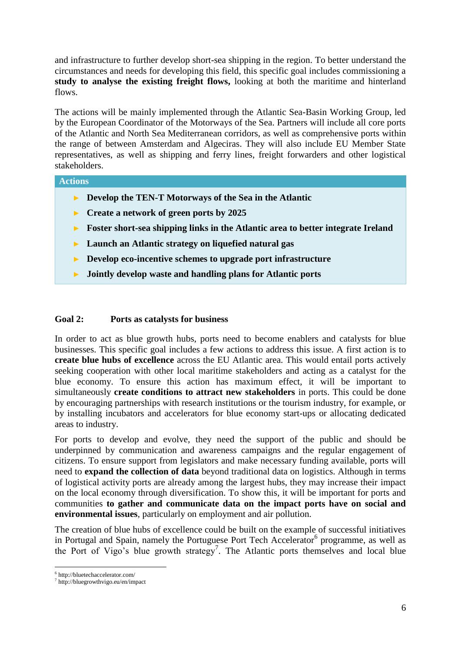and infrastructure to further develop short-sea shipping in the region. To better understand the circumstances and needs for developing this field, this specific goal includes commissioning a **study to analyse the existing freight flows,** looking at both the maritime and hinterland flows.

The actions will be mainly implemented through the Atlantic Sea-Basin Working Group, led by the European Coordinator of the Motorways of the Sea. Partners will include all core ports of the Atlantic and North Sea Mediterranean corridors, as well as comprehensive ports within the range of between Amsterdam and Algeciras. They will also include EU Member State representatives, as well as shipping and ferry lines, freight forwarders and other logistical stakeholders.

## **Actions**

- **► Develop the TEN-T Motorways of the Sea in the Atlantic**
- **► Create a network of green ports by 2025**
- **► Foster short-sea shipping links in the Atlantic area to better integrate Ireland**
- **► Launch an Atlantic strategy on liquefied natural gas**
- **► Develop eco-incentive schemes to upgrade port infrastructure**
- **► Jointly develop waste and handling plans for Atlantic ports**

## <span id="page-6-0"></span>**Goal 2: Ports as catalysts for business**

In order to act as blue growth hubs, ports need to become enablers and catalysts for blue businesses. This specific goal includes a few actions to address this issue. A first action is to **create blue hubs of excellence** across the EU Atlantic area. This would entail ports actively seeking cooperation with other local maritime stakeholders and acting as a catalyst for the blue economy. To ensure this action has maximum effect, it will be important to simultaneously **create conditions to attract new stakeholders** in ports. This could be done by encouraging partnerships with research institutions or the tourism industry, for example, or by installing incubators and accelerators for blue economy start-ups or allocating dedicated areas to industry.

For ports to develop and evolve, they need the support of the public and should be underpinned by communication and awareness campaigns and the regular engagement of citizens. To ensure support from legislators and make necessary funding available, ports will need to **expand the collection of data** beyond traditional data on logistics. Although in terms of logistical activity ports are already among the largest hubs, they may increase their impact on the local economy through diversification. To show this, it will be important for ports and communities **to gather and communicate data on the impact ports have on social and environmental issues**, particularly on employment and air pollution.

The creation of blue hubs of excellence could be built on the example of successful initiatives in Portugal and Spain, namely the Portuguese Port Tech Accelerator<sup>6</sup> programme, as well as the Port of Vigo's blue growth strategy<sup>7</sup>. The Atlantic ports themselves and local blue

1

<sup>6</sup> http://bluetechaccelerator.com/

<sup>7</sup> http://bluegrowthvigo.eu/en/impact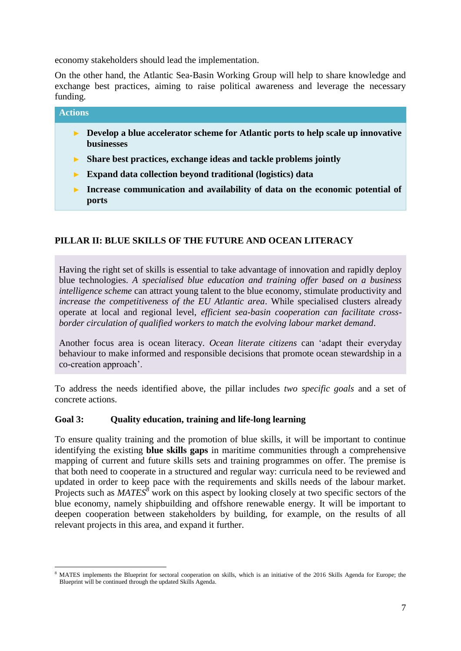economy stakeholders should lead the implementation.

On the other hand, the Atlantic Sea-Basin Working Group will help to share knowledge and exchange best practices, aiming to raise political awareness and leverage the necessary funding.

| <b>Actions</b> |                                                                                                       |
|----------------|-------------------------------------------------------------------------------------------------------|
|                | Develop a blue accelerator scheme for Atlantic ports to help scale up innovative<br><b>businesses</b> |

- **► Share best practices, exchange ideas and tackle problems jointly**
- **► Expand data collection beyond traditional (logistics) data**
- **► Increase communication and availability of data on the economic potential of ports**

## <span id="page-7-0"></span>**PILLAR II: BLUE SKILLS OF THE FUTURE AND OCEAN LITERACY**

Having the right set of skills is essential to take advantage of innovation and rapidly deploy blue technologies. *A specialised blue education and training offer based on a business intelligence scheme* can attract young talent to the blue economy, stimulate productivity and *increase the competitiveness of the EU Atlantic area*. While specialised clusters already operate at local and regional level, *efficient sea-basin cooperation can facilitate crossborder circulation of qualified workers to match the evolving labour market demand*.

Another focus area is ocean literacy. *Ocean literate citizens* can 'adapt their everyday behaviour to make informed and responsible decisions that promote ocean stewardship in a co-creation approach'.

To address the needs identified above, the pillar includes *two specific goals* and a set of concrete actions.

## <span id="page-7-1"></span>**Goal 3: Quality education, training and life-long learning**

1

To ensure quality training and the promotion of blue skills, it will be important to continue identifying the existing **blue skills gaps** in maritime communities through a comprehensive mapping of current and future skills sets and training programmes on offer. The premise is that both need to cooperate in a structured and regular way: curricula need to be reviewed and updated in order to keep pace with the requirements and skills needs of the labour market. Projects such as *MATES<sup>8</sup>* work on this aspect by looking closely at two specific sectors of the blue economy, namely shipbuilding and offshore renewable energy. It will be important to deepen cooperation between stakeholders by building, for example, on the results of all relevant projects in this area, and expand it further.

<sup>8</sup> MATES implements the Blueprint for sectoral cooperation on skills, which is an initiative of the 2016 Skills Agenda for Europe; the Blueprint will be continued through the updated Skills Agenda.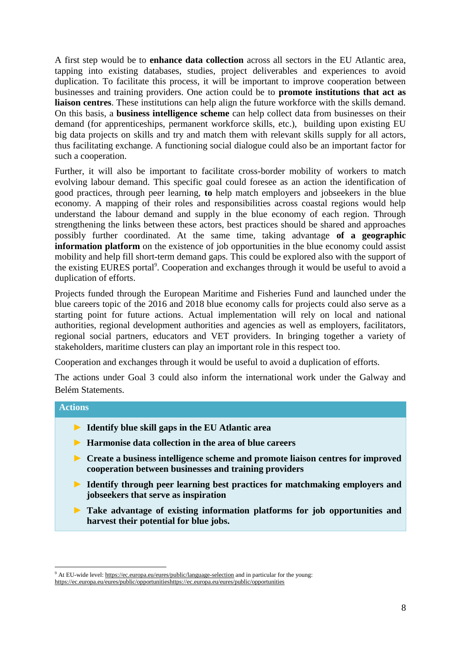A first step would be to **enhance data collection** across all sectors in the EU Atlantic area, tapping into existing databases, studies, project deliverables and experiences to avoid duplication. To facilitate this process, it will be important to improve cooperation between businesses and training providers. One action could be to **promote institutions that act as liaison centres**. These institutions can help align the future workforce with the skills demand. On this basis, a **business intelligence scheme** can help collect data from businesses on their demand (for apprenticeships, permanent workforce skills, etc.), building upon existing EU big data projects on skills and try and match them with relevant skills supply for all actors, thus facilitating exchange. A functioning social dialogue could also be an important factor for such a cooperation.

Further, it will also be important to facilitate cross-border mobility of workers to match evolving labour demand. This specific goal could foresee as an action the identification of good practices, through peer learning, **to** help match employers and jobseekers in the blue economy. A mapping of their roles and responsibilities across coastal regions would help understand the labour demand and supply in the blue economy of each region. Through strengthening the links between these actors, best practices should be shared and approaches possibly further coordinated. At the same time, taking advantage **of a geographic information platform** on the existence of job opportunities in the blue economy could assist mobility and help fill short-term demand gaps. This could be explored also with the support of the existing EURES portal<sup>9</sup>. Cooperation and exchanges through it would be useful to avoid a duplication of efforts.

Projects funded through the European Maritime and Fisheries Fund and launched under the blue careers topic of the 2016 and 2018 blue economy calls for projects could also serve as a starting point for future actions. Actual implementation will rely on local and national authorities, regional development authorities and agencies as well as employers, facilitators, regional social partners, educators and VET providers. In bringing together a variety of stakeholders, maritime clusters can play an important role in this respect too.

Cooperation and exchanges through it would be useful to avoid a duplication of efforts.

The actions under Goal 3 could also inform the international work under the Galway and Belém Statements.

| <b>Actions</b>                                     |  |
|----------------------------------------------------|--|
| • Identify blue skill gaps in the EU Atlantic area |  |

- **► Harmonise data collection in the area of blue careers**
- **► Create a business intelligence scheme and promote liaison centres for improved cooperation between businesses and training providers**
- **► Identify through peer learning best practices for matchmaking employers and jobseekers that serve as inspiration**
- **► Take advantage of existing information platforms for job opportunities and harvest their potential for blue jobs.**

1

<sup>&</sup>lt;sup>9</sup> At EU-wide level:<https://ec.europa.eu/eures/public/language-selection> and in particular for the young: [https://ec.europa.eu/eures/public/opportunitieshttps://ec.europa.eu/eures/public/opportunities](https://ec.europa.eu/eures/public/opportunities)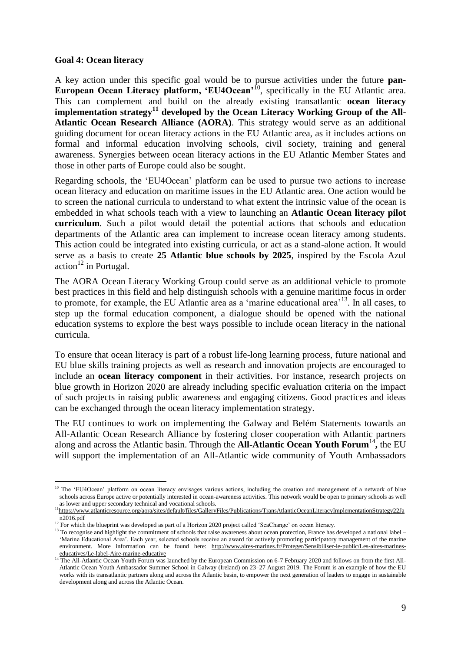#### <span id="page-9-0"></span>**Goal 4: Ocean literacy**

<u>.</u>

A key action under this specific goal would be to pursue activities under the future **pan-European Ocean Literacy platform, 'EU4Ocean'**<sup>10</sup>, specifically in the EU Atlantic area. This can complement and build on the already existing transatlantic **ocean literacy implementation strategy<sup>11</sup> developed by the Ocean Literacy Working Group of the All-Atlantic Ocean Research Alliance (AORA)**. This strategy would serve as an additional guiding document for ocean literacy actions in the EU Atlantic area, as it includes actions on formal and informal education involving schools, civil society, training and general awareness. Synergies between ocean literacy actions in the EU Atlantic Member States and those in other parts of Europe could also be sought.

Regarding schools, the 'EU4Ocean' platform can be used to pursue two actions to increase ocean literacy and education on maritime issues in the EU Atlantic area. One action would be to screen the national curricula to understand to what extent the intrinsic value of the ocean is embedded in what schools teach with a view to launching an **Atlantic Ocean literacy pilot curriculum**. Such a pilot would detail the potential actions that schools and education departments of the Atlantic area can implement to increase ocean literacy among students. This action could be integrated into existing curricula, or act as a stand-alone action. It would serve as a basis to create **25 Atlantic blue schools by 2025**, inspired by the Escola Azul action<sup>12</sup> in Portugal.

The AORA Ocean Literacy Working Group could serve as an additional vehicle to promote best practices in this field and help distinguish schools with a genuine maritime focus in order to promote, for example, the EU Atlantic area as a 'marine educational area'<sup>13</sup>. In all cases, to step up the formal education component, a dialogue should be opened with the national education systems to explore the best ways possible to include ocean literacy in the national curricula.

To ensure that ocean literacy is part of a robust life-long learning process, future national and EU blue skills training projects as well as research and innovation projects are encouraged to include an **ocean literacy component** in their activities. For instance, research projects on blue growth in Horizon 2020 are already including specific evaluation criteria on the impact of such projects in raising public awareness and engaging citizens. Good practices and ideas can be exchanged through the ocean literacy implementation strategy.

The EU continues to work on implementing the Galway and Belém Statements towards an All-Atlantic Ocean Research Alliance by fostering closer cooperation with Atlantic partners along and across the Atlantic basin. Through the **All-Atlantic Ocean Youth Forum**<sup>14</sup>, the EU will support the implementation of an All-Atlantic wide community of Youth Ambassadors

<sup>&</sup>lt;sup>10</sup> The 'EU4Ocean' platform on ocean literacy envisages various actions, including the creation and management of a network of blue schools across Europe active or potentially interested in ocean-awareness activities. This network would be open to primary schools as well as lower and upper secondary technical and vocational schools.

<sup>&</sup>lt;sup>11</sup>[https://www.atlanticresource.org/aora/sites/default/files/GalleryFiles/Publications/TransAtlanticOceanLiteracyImplementationStrategy22Ja](https://www.atlanticresource.org/aora/sites/default/files/GalleryFiles/Publications/TransAtlanticOceanLiteracyImplementationStrategy22Jan2016.pdf) [n2016.pdf](https://www.atlanticresource.org/aora/sites/default/files/GalleryFiles/Publications/TransAtlanticOceanLiteracyImplementationStrategy22Jan2016.pdf)

<sup>&</sup>lt;sup>12</sup> For which the blueprint was developed as part of a Horizon 2020 project called 'SeaChange' on ocean literacy.

<sup>&</sup>lt;sup>13</sup> To which the cheeping that the commitment of schools that raise awareness about ocean protection, France has developed a national label – 'Marine Educational Area'. Each year, selected schools receive an award for actively promoting participatory management of the marine environment. More information can be found here: [http://www.aires-marines.fr/Proteger/Sensibiliser-le-public/Les-aires-marines](http://www.aires-marines.fr/Proteger/Sensibiliser-le-public/Les-aires-marines-educatives/Le-label-Aire-marine-educative)[educatives/Le-label-Aire-marine-educative](http://www.aires-marines.fr/Proteger/Sensibiliser-le-public/Les-aires-marines-educatives/Le-label-Aire-marine-educative)

<sup>&</sup>lt;sup>14</sup> The All-Atlantic Ocean Youth Forum was launched by the European Commission on 6-7 February 2020 and follows on from the first All-Atlantic Ocean Youth Ambassador Summer School in Galway (Ireland) on 23–27 August 2019. The Forum is an example of how the EU works with its transatlantic partners along and across the Atlantic basin, to empower the next generation of leaders to engage in sustainable development along and across the Atlantic Ocean.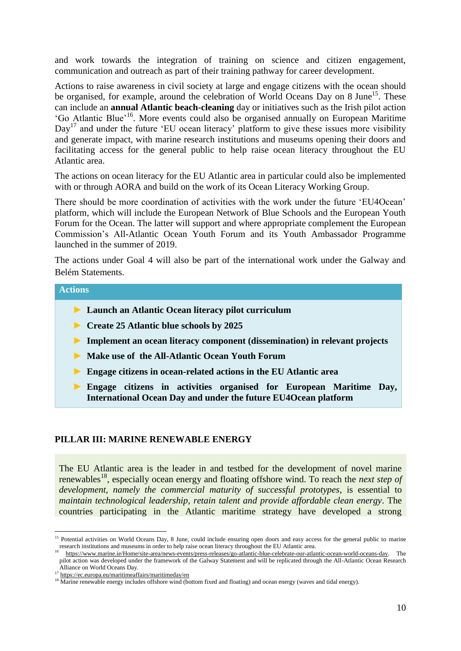and work towards the integration of training on science and citizen engagement, communication and outreach as part of their training pathway for career development.

Actions to raise awareness in civil society at large and engage citizens with the ocean should be organised, for example, around the celebration of World Oceans Day on 8 June<sup>15</sup>. These can include an **annual Atlantic beach-cleaning** day or initiatives such as the Irish pilot action 'Go Atlantic Blue'<sup>16</sup>. More events could also be organised annually on European Maritime  $Day<sup>17</sup>$  and under the future 'EU ocean literacy' platform to give these issues more visibility and generate impact, with marine research institutions and museums opening their doors and facilitating access for the general public to help raise ocean literacy throughout the EU Atlantic area.

The actions on ocean literacy for the EU Atlantic area in particular could also be implemented with or through AORA and build on the work of its Ocean Literacy Working Group.

There should be more coordination of activities with the work under the future 'EU4Ocean' platform, which will include the European Network of Blue Schools and the European Youth Forum for the Ocean. The latter will support and where appropriate complement the European Commission's All-Atlantic Ocean Youth Forum and its Youth Ambassador Programme launched in the summer of 2019.

The actions under Goal 4 will also be part of the international work under the Galway and Belém Statements.

#### **Actions**

1

- **► Launch an Atlantic Ocean literacy pilot curriculum**
- **► Create 25 Atlantic blue schools by 2025**
- **► Implement an ocean literacy component (dissemination) in relevant projects**
- **► Make use of the All-Atlantic Ocean Youth Forum**
- **► Engage citizens in ocean-related actions in the EU Atlantic area**
- **► Engage citizens in activities organised for European Maritime Day, International Ocean Day and under the future EU4Ocean platform**

### <span id="page-10-0"></span>**PILLAR III: MARINE RENEWABLE ENERGY**

The EU Atlantic area is the leader in and testbed for the development of novel marine renewables<sup>18</sup>, especially ocean energy and floating offshore wind. To reach the *next step of development, namely the commercial maturity of successful prototypes*, is essential to *maintain technological leadership, retain talent and provide affordable clean energy*. The countries participating in the Atlantic maritime strategy have developed a strong

<sup>&</sup>lt;sup>15</sup> Potential activities on World Oceans Day, 8 June, could include ensuring open doors and easy access for the general public to marine research institutions and museums in order to help raise ocean literacy throughout the EU Atlantic area.

<sup>16</sup> [https://www.marine.ie/Home/site-area/news-events/press-releases/go-atlantic-blue-celebrate-our-atlantic-ocean-world-oceans-day.](https://www.marine.ie/Home/site-area/news-events/press-releases/go-atlantic-blue-celebrate-our-atlantic-ocean-world-oceans-day) The pilot action was developed under the framework of the Galway Statement and will be replicated through the All-Atlantic Ocean Research Alliance on World Oceans Day.

<sup>&</sup>lt;sup>17</sup> <https://ec.europa.eu/maritimeaffairs/maritimeday/en>

<sup>&</sup>lt;sup>18</sup> Marine renewable energy includes offshore wind (bottom fixed and floating) and ocean energy (waves and tidal energy).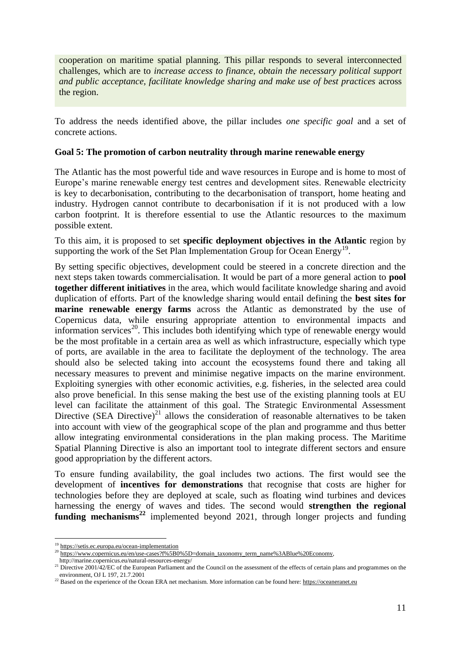cooperation on maritime spatial planning. This pillar responds to several interconnected challenges, which are to *increase access to finance, obtain the necessary political support and public acceptance, facilitate knowledge sharing and make use of best practices* across the region.

To address the needs identified above, the pillar includes *one specific goal* and a set of concrete actions.

## <span id="page-11-0"></span>**Goal 5: The promotion of carbon neutrality through marine renewable energy**

The Atlantic has the most powerful tide and wave resources in Europe and is home to most of Europe's marine renewable energy test centres and development sites. Renewable electricity is key to decarbonisation, contributing to the decarbonisation of transport, home heating and industry. Hydrogen cannot contribute to decarbonisation if it is not produced with a low carbon footprint. It is therefore essential to use the Atlantic resources to the maximum possible extent.

To this aim, it is proposed to set **specific deployment objectives in the Atlantic** region by supporting the work of the Set Plan Implementation Group for Ocean Energy<sup>19</sup>.

By setting specific objectives, development could be steered in a concrete direction and the next steps taken towards commercialisation. It would be part of a more general action to **pool together different initiatives** in the area, which would facilitate knowledge sharing and avoid duplication of efforts. Part of the knowledge sharing would entail defining the **best sites for marine renewable energy farms** across the Atlantic as demonstrated by the use of Copernicus data, while ensuring appropriate attention to environmental impacts and information services<sup>20</sup>. This includes both identifying which type of renewable energy would be the most profitable in a certain area as well as which infrastructure, especially which type of ports, are available in the area to facilitate the deployment of the technology. The area should also be selected taking into account the ecosystems found there and taking all necessary measures to prevent and minimise negative impacts on the marine environment. Exploiting synergies with other economic activities, e.g. fisheries, in the selected area could also prove beneficial. In this sense making the best use of the existing planning tools at EU level can facilitate the attainment of this goal. The Strategic Environmental Assessment Directive (SEA Directive)<sup>21</sup> allows the consideration of reasonable alternatives to be taken into account with view of the geographical scope of the plan and programme and thus better allow integrating environmental considerations in the plan making process. The Maritime Spatial Planning Directive is also an important tool to integrate different sectors and ensure good appropriation by the different actors.

To ensure funding availability, the goal includes two actions. The first would see the development of **incentives for demonstrations** that recognise that costs are higher for technologies before they are deployed at scale, such as floating wind turbines and devices harnessing the energy of waves and tides. The second would **strengthen the regional funding mechanisms<sup>22</sup>** implemented beyond 2021, through longer projects and funding

<u>.</u>

<sup>&</sup>lt;sup>19</sup> <https://setis.ec.europa.eu/ocean-implementation>

<sup>&</sup>lt;sup>20</sup> https://www.copernicus.eu/en/use-cases?f%5B0%5D=domain\_taxonomy\_term\_name%3ABlue%20Economy,

http://marine.copernicus.eu/natural-resources-energy/

<sup>&</sup>lt;sup>21</sup> Directive 2001/42/EC of the European Parliament and the Council on the assessment of the effects of certain plans and programmes on the environment, OJ L 197, 21.7.2001

<sup>&</sup>lt;sup>22</sup> Based on the experience of the Ocean ERA net mechanism. More information can be found here: [https://oceaneranet.eu](https://oceaneranet.eu/)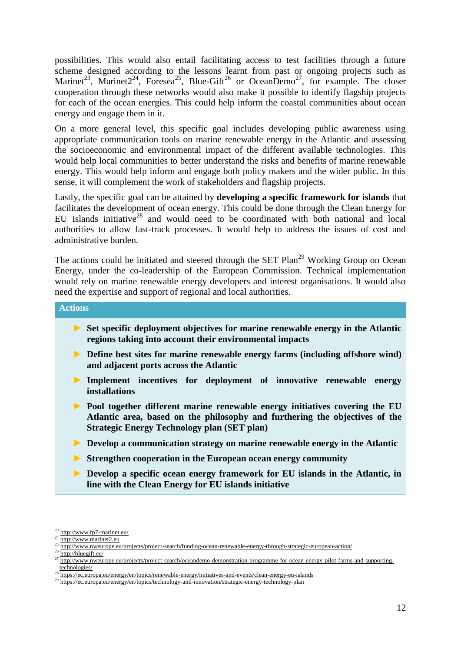possibilities. This would also entail facilitating access to test facilities through a future scheme designed according to the lessons learnt from past or ongoing projects such as Marinet<sup>23</sup>, Marinet2<sup>24</sup>, Foresea<sup>25</sup>, Blue-Gift<sup>26</sup> or OceanDemo<sup>27</sup>, for example. The closer cooperation through these networks would also make it possible to identify flagship projects for each of the ocean energies. This could help inform the coastal communities about ocean energy and engage them in it.

On a more general level, this specific goal includes developing public awareness using appropriate communication tools on marine renewable energy in the Atlantic **a**nd assessing the socioeconomic and environmental impact of the different available technologies. This would help local communities to better understand the risks and benefits of marine renewable energy. This would help inform and engage both policy makers and the wider public. In this sense, it will complement the work of stakeholders and flagship projects.

Lastly, the specific goal can be attained by **developing a specific framework for islands** that facilitates the development of ocean energy. This could be done through the Clean Energy for EU Islands initiative<sup>28</sup> and would need to be coordinated with both national and local authorities to allow fast-track processes. It would help to address the issues of cost and administrative burden.

The actions could be initiated and steered through the SET  $Plan^{29}$  Working Group on Ocean Energy, under the co-leadership of the European Commission. Technical implementation would rely on marine renewable energy developers and interest organisations. It would also need the expertise and support of regional and local authorities.

# **Actions ► Set specific deployment objectives for marine renewable energy in the Atlantic regions taking into account their environmental impacts ► Define best sites for marine renewable energy farms (including offshore wind) and adjacent ports across the Atlantic ► Implement incentives for deployment of innovative renewable energy installations ► Pool together different marine renewable energy initiatives covering the EU**

- **Atlantic area, based on the philosophy and furthering the objectives of the Strategic Energy Technology plan (SET plan)**
- **► Develop a communication strategy on marine renewable energy in the Atlantic**
- **► Strengthen cooperation in the European ocean energy community**
- **► Develop a specific ocean energy framework for EU islands in the Atlantic, in line with the Clean Energy for EU islands initiative**

<sup>26</sup> <http://bluegift.eu/>

<u>.</u>

 $\frac{^{23} \text{http://www.fp7-marinet.eu/}}{^{24} \text{1} \cdot \text{m}}$  $\frac{^{23} \text{http://www.fp7-marinet.eu/}}{^{24} \text{1} \cdot \text{m}}$  $\frac{^{23} \text{http://www.fp7-marinet.eu/}}{^{24} \text{1} \cdot \text{m}}$ 

[http://www.marinet2.eu](http://www.marinet2.eu/)<br>http://www.nweurope.eu/p

<sup>25</sup> <http://www.nweurope.eu/projects/project-search/funding-ocean-renewable-energy-through-strategic-european-action/>

<sup>27</sup> [http://www.nweurope.eu/projects/project-search/oceandemo-demonstration-programme-for-ocean-energy-pilot-farms-and-supporting](http://www.nweurope.eu/projects/project-search/oceandemo-demonstration-programme-for-ocean-energy-pilot-farms-and-supporting-technologies/)[technologies/](http://www.nweurope.eu/projects/project-search/oceandemo-demonstration-programme-for-ocean-energy-pilot-farms-and-supporting-technologies/)

<sup>&</sup>lt;sup>28</sup> <https://ec.europa.eu/energy/en/topics/renewable-energy/initiatives-and-events/clean-energy-eu-islands>

<sup>&</sup>lt;sup>29</sup> https://ec.europa.eu/energy/en/topics/technology-and-innovation/strategic-energy-technology-plan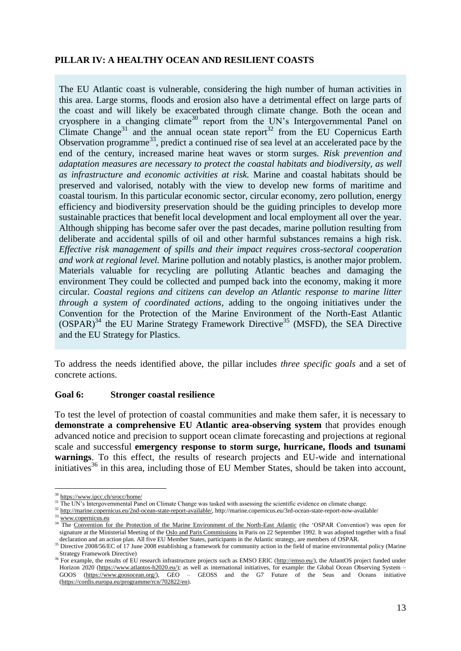## <span id="page-13-0"></span>**PILLAR IV: A HEALTHY OCEAN AND RESILIENT COASTS**

The EU Atlantic coast is vulnerable, considering the high number of human activities in this area. Large storms, floods and erosion also have a detrimental effect on large parts of the coast and will likely be exacerbated through climate change. Both the ocean and cryosphere in a changing climate<sup>30</sup> report from the UN's Intergovernmental Panel on Climate Change<sup>31</sup> and the annual ocean state report<sup>32</sup> from the EU Copernicus Earth Observation programme<sup>33</sup>, predict a continued rise of sea level at an accelerated pace by the end of the century, increased marine heat waves or storm surges. *Risk prevention and adaptation measures are necessary to protect the coastal habitats and biodiversity, as well as infrastructure and economic activities at risk.* Marine and coastal habitats should be preserved and valorised, notably with the view to develop new forms of maritime and coastal tourism. In this particular economic sector, circular economy, zero pollution, energy efficiency and biodiversity preservation should be the guiding principles to develop more sustainable practices that benefit local development and local employment all over the year. Although shipping has become safer over the past decades, marine pollution resulting from deliberate and accidental spills of oil and other harmful substances remains a high risk. *Effective risk management of spills and their impact requires cross-sectoral cooperation and work at regional level.* Marine pollution and notably plastics, is another major problem. Materials valuable for recycling are polluting Atlantic beaches and damaging the environment They could be collected and pumped back into the economy, making it more circular. *Coastal regions and citizens can develop an Atlantic response to marine litter through a system of coordinated actions*, adding to the ongoing initiatives under the Convention for the Protection of the Marine Environment of the North-East Atlantic  $(OSPAR)^{34}$  the EU Marine Strategy Framework Directive<sup>35</sup> (MSFD), the SEA Directive and the EU Strategy for Plastics.

To address the needs identified above, the pillar includes *three specific goals* and a set of concrete actions.

### <span id="page-13-1"></span>**Goal 6: Stronger coastal resilience**

To test the level of protection of coastal communities and make them safer, it is necessary to **demonstrate a comprehensive EU Atlantic area-observing system** that provides enough advanced notice and precision to support ocean climate forecasting and projections at regional scale and successful **emergency response to storm surge, hurricane, floods and tsunami warnings**. To this effect, the results of research projects and EU-wide and international initiatives<sup>36</sup> in this area, including those of EU Member States, should be taken into account,

<sup>1</sup> <sup>30</sup> <https://www.ipcc.ch/srocc/home/>

<sup>&</sup>lt;sup>31</sup> The UN's Intergovernmental Panel on Climate Change was tasked with assessing the scientific evidence on climate change.

<sup>&</sup>lt;sup>32</sup> [http://marine.copernicus.eu/2nd-ocean-state-report-available/,](http://marine.copernicus.eu/2nd-ocean-state-report-available/) http://marine.copernicus.eu/3rd-ocean-state-report-now-available/

<sup>33</sup> [www.copernicus.eu](http://www.copernicus.eu/)

<sup>&</sup>lt;sup>34</sup> The [Convention for the Protection of the Marine Environment of the North-East Atlantic](https://www.ospar.org/convention/text) (the 'OSPAR Convention') was open for signature at the Ministerial Meeting of th[e Oslo and Paris Commissions](https://www.ospar.org/about/history) in Paris on 22 September 1992. It was adopted together with a final declaration and an action plan. All five EU Member States, participants in the Atlantic strategy, are members of OSPAR.

<sup>&</sup>lt;sup>35</sup> Directive 2008/56/EC of 17 June 2008 establishing a framework for community action in the field of marine environmental policy (Marine Strategy Framework Directive)

<sup>&</sup>lt;sup>36</sup> For example, the results of EU research infrastructure projects such as EMSO ERIC [\(http://emso.eu/\)](http://emso.eu/), the AtlantOS project funded under Horizon 2020 [\(https://www.atlantos-h2020.eu/\)](https://www.atlantos-h2020.eu/); as well as international initiatives, for example: the Global Ocean Observing System -GOOS [\(https://www.goosocean.org/\)](https://www.goosocean.org/), GEO – GEOSS and the G7 Future of the Seas and Oceans initiative [\(https://cordis.europa.eu/programme/rcn/702822/en\)](https://cordis.europa.eu/programme/rcn/702822/en).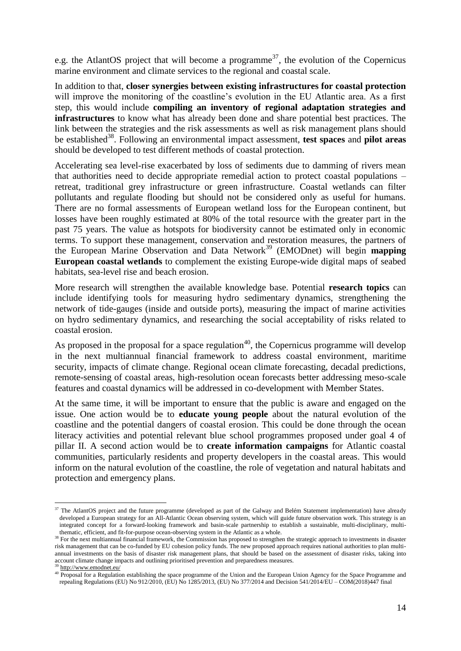e.g. the AtlantOS project that will become a programme<sup>37</sup>, the evolution of the Copernicus marine environment and climate services to the regional and coastal scale.

In addition to that, **closer synergies between existing infrastructures for coastal protection**  will improve the monitoring of the coastline's evolution in the EU Atlantic area. As a first step, this would include **compiling an inventory of regional adaptation strategies and infrastructures** to know what has already been done and share potential best practices. The link between the strategies and the risk assessments as well as risk management plans should be established<sup>38</sup>. Following an environmental impact assessment, **test spaces** and **pilot areas** should be developed to test different methods of coastal protection.

Accelerating sea level-rise exacerbated by loss of sediments due to damming of rivers mean that authorities need to decide appropriate remedial action to protect coastal populations – retreat, traditional grey infrastructure or green infrastructure. Coastal wetlands can filter pollutants and regulate flooding but should not be considered only as useful for humans. There are no formal assessments of European wetland loss for the European continent, but losses have been roughly estimated at 80% of the total resource with the greater part in the past 75 years. The value as hotspots for biodiversity cannot be estimated only in economic terms. To support these management, conservation and restoration measures, the partners of the European Marine Observation and Data Network<sup>39</sup> (EMODnet) will begin **mapping European coastal wetlands** to complement the existing Europe-wide digital maps of seabed habitats, sea-level rise and beach erosion.

More research will strengthen the available knowledge base. Potential **research topics** can include identifying tools for measuring hydro sedimentary dynamics, strengthening the network of tide-gauges (inside and outside ports), measuring the impact of marine activities on hydro sedimentary dynamics, and researching the social acceptability of risks related to coastal erosion.

As proposed in the proposal for a space regulation<sup>40</sup>, the Copernicus programme will develop in the next multiannual financial framework to address coastal environment, maritime security, impacts of climate change. Regional ocean climate forecasting, decadal predictions, remote-sensing of coastal areas, high-resolution ocean forecasts better addressing meso-scale features and coastal dynamics will be addressed in co-development with Member States.

At the same time, it will be important to ensure that the public is aware and engaged on the issue. One action would be to **educate young people** about the natural evolution of the coastline and the potential dangers of coastal erosion. This could be done through the ocean literacy activities and potential relevant blue school programmes proposed under goal 4 of pillar II. A second action would be to **create information campaigns** for Atlantic coastal communities, particularly residents and property developers in the coastal areas. This would inform on the natural evolution of the coastline, the role of vegetation and natural habitats and protection and emergency plans.

1

<sup>&</sup>lt;sup>37</sup> The AtlantOS project and the future programme (developed as part of the Galway and Belém Statement implementation) have already developed a European strategy for an All-Atlantic Ocean observing system, which will guide future observation work. This strategy is an integrated concept for a forward-looking framework and basin-scale partnership to establish a sustainable, multi-disciplinary, multithematic, efficient, and fit-for-purpose ocean-observing system in the Atlantic as a whole.

<sup>&</sup>lt;sup>38</sup> For the next multiannual financial framework, the Commission has proposed to strengthen the strategic approach to investments in disaster risk management that can be co-funded by EU cohesion policy funds. The new proposed approach requires national authorities to plan multiannual investments on the basis of disaster risk management plans, that should be based on the assessment of disaster risks, taking into account climate change impacts and outlining prioritised prevention and preparedness measures.

<http://www.emodnet.eu/>

<sup>40</sup> Proposal for a Regulation establishing the space programme of the Union and the European Union Agency for the Space Programme and repealing Regulations (EU) No 912/2010, (EU) No 1285/2013, (EU) No 377/2014 and Decision 541/2014/EU – COM(2018)447 final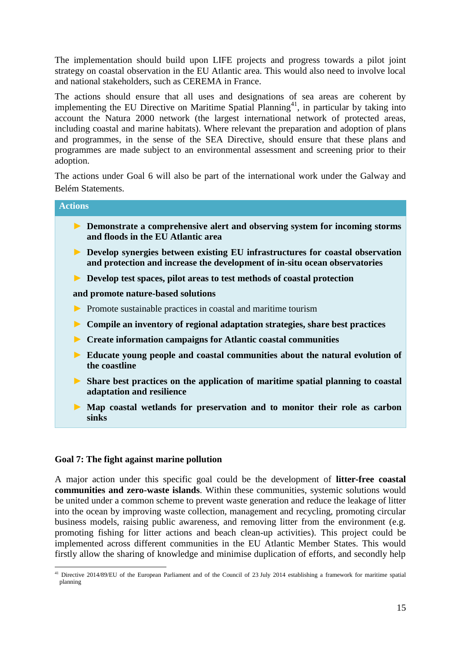The implementation should build upon LIFE projects and progress towards a pilot joint strategy on coastal observation in the EU Atlantic area. This would also need to involve local and national stakeholders, such as CEREMA in France.

The actions should ensure that all uses and designations of sea areas are coherent by implementing the EU Directive on Maritime Spatial Planning<sup>41</sup>, in particular by taking into account the Natura 2000 network (the largest international network of protected areas, including coastal and marine habitats). Where relevant the preparation and adoption of plans and programmes, in the sense of the SEA Directive, should ensure that these plans and programmes are made subject to an environmental assessment and screening prior to their adoption.

The actions under Goal 6 will also be part of the international work under the Galway and Belém Statements.

| <b>Actions</b>                                                                                                                                              |  |  |  |  |  |
|-------------------------------------------------------------------------------------------------------------------------------------------------------------|--|--|--|--|--|
| Demonstrate a comprehensive alert and observing system for incoming storms<br>and floods in the EU Atlantic area                                            |  |  |  |  |  |
| Develop synergies between existing EU infrastructures for coastal observation<br>and protection and increase the development of in-situ ocean observatories |  |  |  |  |  |
| Develop test spaces, pilot areas to test methods of coastal protection                                                                                      |  |  |  |  |  |
| and promote nature-based solutions                                                                                                                          |  |  |  |  |  |
| • Promote sustainable practices in coastal and maritime tourism                                                                                             |  |  |  |  |  |
| Compile an inventory of regional adaptation strategies, share best practices                                                                                |  |  |  |  |  |
| <b>Create information campaigns for Atlantic coastal communities</b>                                                                                        |  |  |  |  |  |
| $\triangleright$ Educate young people and coastal communities about the natural evolution of<br>the coastline                                               |  |  |  |  |  |
| Share best practices on the application of maritime spatial planning to coastal<br>adaptation and resilience                                                |  |  |  |  |  |
| Map coastal wetlands for preservation and to monitor their role as carbon<br>sinks                                                                          |  |  |  |  |  |

## <span id="page-15-0"></span>**Goal 7: The fight against marine pollution**

A major action under this specific goal could be the development of **litter-free coastal communities and zero-waste islands**. Within these communities, systemic solutions would be united under a common scheme to prevent waste generation and reduce the leakage of litter into the ocean by improving waste collection, management and recycling, promoting circular business models, raising public awareness, and removing litter from the environment (e.g. promoting fishing for litter actions and beach clean-up activities). This project could be implemented across different communities in the EU Atlantic Member States. This would firstly allow the sharing of knowledge and minimise duplication of efforts, and secondly help

<sup>1</sup> <sup>41</sup> Directive 2014/89/EU of the European Parliament and of the Council of 23 July 2014 establishing a framework for maritime spatial planning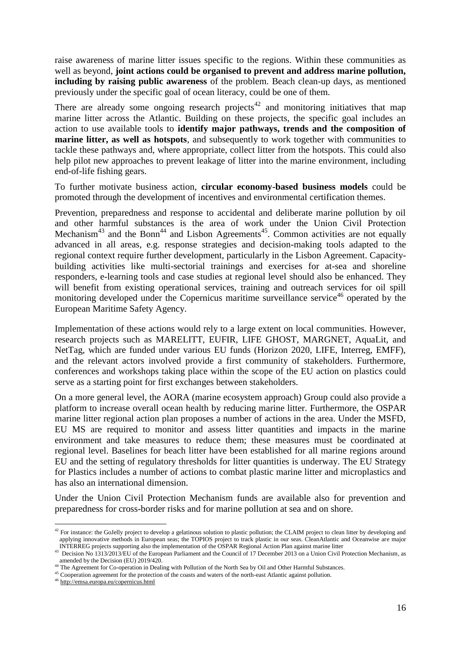raise awareness of marine litter issues specific to the regions. Within these communities as well as beyond, **joint actions could be organised to prevent and address marine pollution, including by raising public awareness** of the problem. Beach clean-up days, as mentioned previously under the specific goal of ocean literacy, could be one of them.

There are already some ongoing research projects<sup> $42$ </sup> and monitoring initiatives that map marine litter across the Atlantic. Building on these projects, the specific goal includes an action to use available tools to **identify major pathways, trends and the composition of marine litter, as well as hotspots**, and subsequently to work together with communities to tackle these pathways and, where appropriate, collect litter from the hotspots. This could also help pilot new approaches to prevent leakage of litter into the marine environment, including end-of-life fishing gears.

To further motivate business action, **circular economy-based business models** could be promoted through the development of incentives and environmental certification themes.

Prevention, preparedness and response to accidental and deliberate marine pollution by oil and other harmful substances is the area of work under the Union Civil Protection Mechanism<sup>43</sup> and the Bonn<sup>44</sup> and Lisbon Agreements<sup>45</sup>. Common activities are not equally advanced in all areas, e.g. response strategies and decision-making tools adapted to the regional context require further development, particularly in the Lisbon Agreement. Capacitybuilding activities like multi-sectorial trainings and exercises for at-sea and shoreline responders, e-learning tools and case studies at regional level should also be enhanced. They will benefit from existing operational services, training and outreach services for oil spill monitoring developed under the Copernicus maritime surveillance service<sup>46</sup> operated by the European Maritime Safety Agency.

Implementation of these actions would rely to a large extent on local communities. However, research projects such as MARELITT, EUFIR, LIFE GHOST, MARGNET, AquaLit, and NetTag, which are funded under various EU funds (Horizon 2020, LIFE, Interreg, EMFF), and the relevant actors involved provide a first community of stakeholders. Furthermore, conferences and workshops taking place within the scope of the EU action on plastics could serve as a starting point for first exchanges between stakeholders.

On a more general level, the AORA (marine ecosystem approach) Group could also provide a platform to increase overall ocean health by reducing marine litter. Furthermore, the OSPAR marine litter regional action plan proposes a number of actions in the area. Under the MSFD, EU MS are required to monitor and assess litter quantities and impacts in the marine environment and take measures to reduce them; these measures must be coordinated at regional level. Baselines for beach litter have been established for all marine regions around EU and the setting of regulatory thresholds for litter quantities is underway. The EU Strategy for Plastics includes a number of actions to combat plastic marine litter and microplastics and has also an international dimension.

Under the Union Civil Protection Mechanism funds are available also for prevention and preparedness for cross-border risks and for marine pollution at sea and on shore.

<u>.</u>

<sup>&</sup>lt;sup>42</sup> For instance: the GoJelly project to develop a gelatinous solution to plastic pollution; the CLAIM project to clean litter by developing and applying innovative methods in European seas; the TOPIOS project to track plastic in our seas. CleanAtlantic and Oceanwise are major INTERREG projects supporting also the implementation of the OSPAR Regional Action Plan against marine litter

<sup>43</sup> Decision No 1313/2013/EU of the European Parliament and the Council of 17 December 2013 on a Union Civil Protection Mechanism, as amended by the Decision (EU) 2019/420.

<sup>44</sup> The Agreement for Co-operation in Dealing with Pollution of the North Sea by Oil and Other Harmful Substances.

<sup>&</sup>lt;sup>45</sup> Cooperation agreement for the protection of the coasts and waters of the north-east Atlantic against pollution.

<sup>46</sup> <http://emsa.europa.eu/copernicus.html>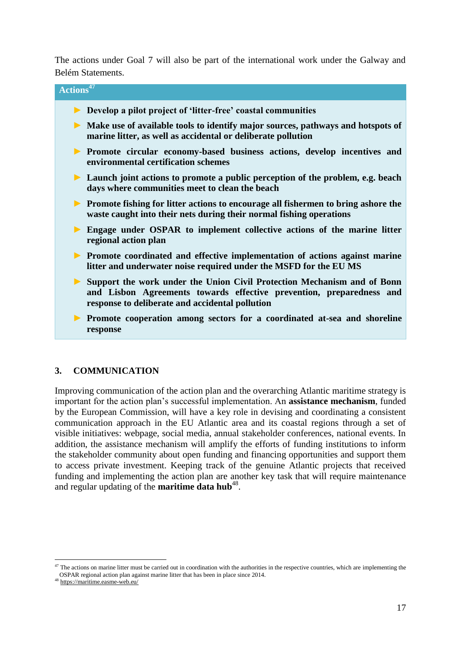The actions under Goal 7 will also be part of the international work under the Galway and Belém Statements.



# <span id="page-17-0"></span>**3. COMMUNICATION**

Improving communication of the action plan and the overarching Atlantic maritime strategy is important for the action plan's successful implementation. An **assistance mechanism**, funded by the European Commission, will have a key role in devising and coordinating a consistent communication approach in the EU Atlantic area and its coastal regions through a set of visible initiatives: webpage, social media, annual stakeholder conferences, national events. In addition, the assistance mechanism will amplify the efforts of funding institutions to inform the stakeholder community about open funding and financing opportunities and support them to access private investment. Keeping track of the genuine Atlantic projects that received funding and implementing the action plan are another key task that will require maintenance and regular updating of the **maritime data hub**<sup>48</sup>.

<sup>1</sup>  $47$  The actions on marine litter must be carried out in coordination with the authorities in the respective countries, which are implementing the OSPAR regional action plan against marine litter that has been in place since 2014.

<sup>48</sup> <https://maritime.easme-web.eu/>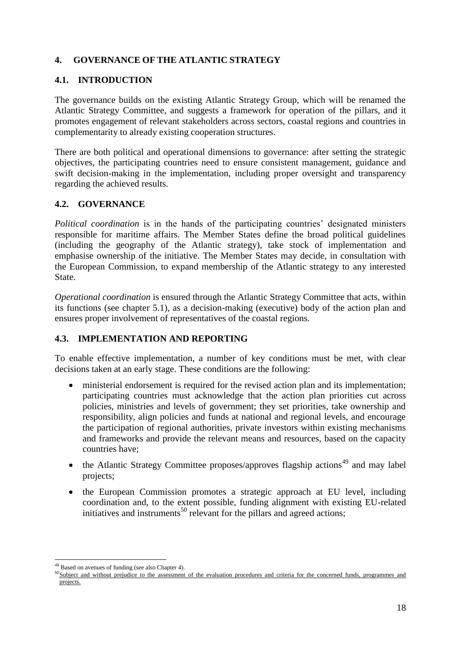# <span id="page-18-0"></span>**4. GOVERNANCE OF THE ATLANTIC STRATEGY**

## <span id="page-18-1"></span>**4.1. INTRODUCTION**

The governance builds on the existing Atlantic Strategy Group, which will be renamed the Atlantic Strategy Committee, and suggests a framework for operation of the pillars, and it promotes engagement of relevant stakeholders across sectors, coastal regions and countries in complementarity to already existing cooperation structures.

There are both political and operational dimensions to governance: after setting the strategic objectives, the participating countries need to ensure consistent management, guidance and swift decision-making in the implementation, including proper oversight and transparency regarding the achieved results.

## <span id="page-18-2"></span>**4.2. GOVERNANCE**

*Political coordination* is in the hands of the participating countries' designated ministers responsible for maritime affairs. The Member States define the broad political guidelines (including the geography of the Atlantic strategy), take stock of implementation and emphasise ownership of the initiative. The Member States may decide, in consultation with the European Commission, to expand membership of the Atlantic strategy to any interested State.

*Operational coordination* is ensured through the Atlantic Strategy Committee that acts, within its functions (see chapter 5.1), as a decision-making (executive) body of the action plan and ensures proper involvement of representatives of the coastal regions.

## <span id="page-18-3"></span>**4.3. IMPLEMENTATION AND REPORTING**

To enable effective implementation, a number of key conditions must be met, with clear decisions taken at an early stage. These conditions are the following:

- ministerial endorsement is required for the revised action plan and its implementation; participating countries must acknowledge that the action plan priorities cut across policies, ministries and levels of government; they set priorities, take ownership and responsibility, align policies and funds at national and regional levels, and encourage the participation of regional authorities, private investors within existing mechanisms and frameworks and provide the relevant means and resources, based on the capacity countries have;
- the Atlantic Strategy Committee proposes/approves flagship actions<sup>49</sup> and may label projects;
- the European Commission promotes a strategic approach at EU level, including coordination and, to the extent possible, funding alignment with existing EU-related initiatives and instruments<sup>50</sup> relevant for the pillars and agreed actions;

<sup>1</sup> <sup>49</sup> Based on avenues of funding (see also Chapter 4).

 $50$ Subject and without prejudice to the assessment <u>of the evaluation procedures and criteria for the concerned funds, programmes and</u> projects.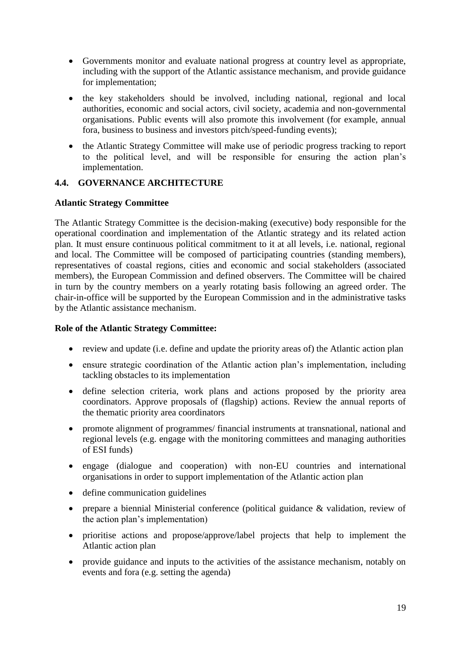- Governments monitor and evaluate national progress at country level as appropriate, including with the support of the Atlantic assistance mechanism, and provide guidance for implementation;
- the key stakeholders should be involved, including national, regional and local authorities, economic and social actors, civil society, academia and non-governmental organisations. Public events will also promote this involvement (for example, annual fora, business to business and investors pitch/speed-funding events);
- the Atlantic Strategy Committee will make use of periodic progress tracking to report to the political level, and will be responsible for ensuring the action plan's implementation.

## <span id="page-19-0"></span>**4.4. GOVERNANCE ARCHITECTURE**

## <span id="page-19-1"></span>**Atlantic Strategy Committee**

The Atlantic Strategy Committee is the decision-making (executive) body responsible for the operational coordination and implementation of the Atlantic strategy and its related action plan. It must ensure continuous political commitment to it at all levels, i.e. national, regional and local. The Committee will be composed of participating countries (standing members), representatives of coastal regions, cities and economic and social stakeholders (associated members), the European Commission and defined observers. The Committee will be chaired in turn by the country members on a yearly rotating basis following an agreed order. The chair-in-office will be supported by the European Commission and in the administrative tasks by the Atlantic assistance mechanism.

## <span id="page-19-2"></span>**Role of the Atlantic Strategy Committee:**

- review and update (i.e. define and update the priority areas of) the Atlantic action plan
- ensure strategic coordination of the Atlantic action plan's implementation, including tackling obstacles to its implementation
- define selection criteria, work plans and actions proposed by the priority area coordinators. Approve proposals of (flagship) actions. Review the annual reports of the thematic priority area coordinators
- promote alignment of programmes/ financial instruments at transnational, national and regional levels (e.g. engage with the monitoring committees and managing authorities of ESI funds)
- engage (dialogue and cooperation) with non-EU countries and international organisations in order to support implementation of the Atlantic action plan
- define communication guidelines
- prepare a biennial Ministerial conference (political guidance & validation, review of the action plan's implementation)
- prioritise actions and propose/approve/label projects that help to implement the Atlantic action plan
- provide guidance and inputs to the activities of the assistance mechanism, notably on events and fora (e.g. setting the agenda)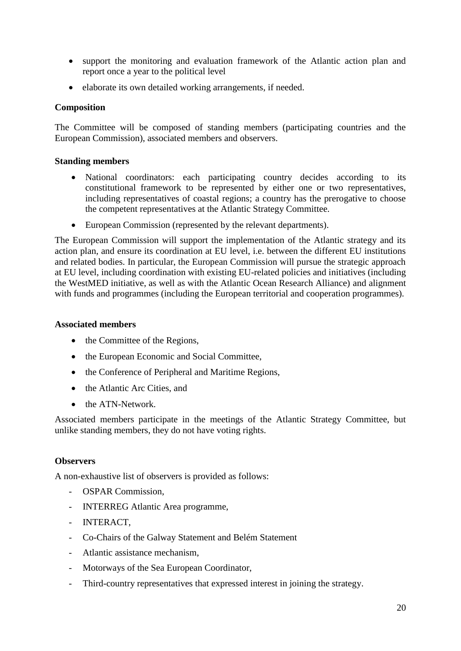- support the monitoring and evaluation framework of the Atlantic action plan and report once a year to the political level
- elaborate its own detailed working arrangements, if needed.

## <span id="page-20-0"></span>**Composition**

The Committee will be composed of standing members (participating countries and the European Commission), associated members and observers.

## **Standing members**

- National coordinators: each participating country decides according to its constitutional framework to be represented by either one or two representatives, including representatives of coastal regions; a country has the prerogative to choose the competent representatives at the Atlantic Strategy Committee.
- European Commission (represented by the relevant departments).

The European Commission will support the implementation of the Atlantic strategy and its action plan, and ensure its coordination at EU level, i.e. between the different EU institutions and related bodies. In particular, the European Commission will pursue the strategic approach at EU level, including coordination with existing EU-related policies and initiatives (including the WestMED initiative, as well as with the Atlantic Ocean Research Alliance) and alignment with funds and programmes (including the European territorial and cooperation programmes).

### **Associated members**

- the Committee of the Regions,
- the European Economic and Social Committee,
- the Conference of Peripheral and Maritime Regions,
- the Atlantic Arc Cities, and
- the ATN-Network.

Associated members participate in the meetings of the Atlantic Strategy Committee, but unlike standing members, they do not have voting rights.

## **Observers**

A non-exhaustive list of observers is provided as follows:

- OSPAR Commission,
- INTERREG Atlantic Area programme,
- INTERACT,
- Co-Chairs of the Galway Statement and Belém Statement
- Atlantic assistance mechanism,
- Motorways of the Sea European Coordinator,
- Third-country representatives that expressed interest in joining the strategy.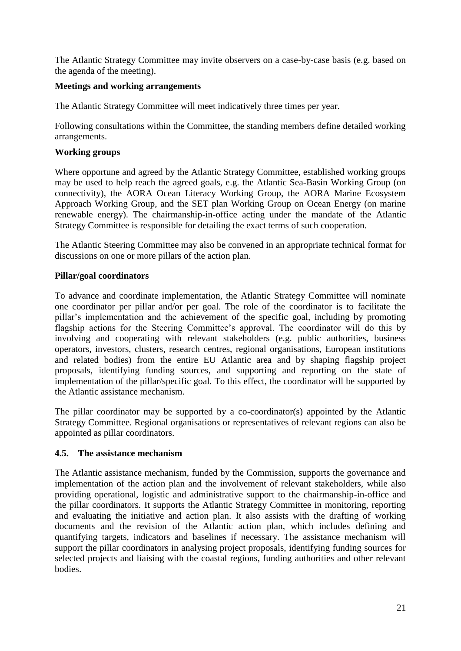The Atlantic Strategy Committee may invite observers on a case-by-case basis (e.g. based on the agenda of the meeting).

## <span id="page-21-0"></span>**Meetings and working arrangements**

The Atlantic Strategy Committee will meet indicatively three times per year.

Following consultations within the Committee, the standing members define detailed working arrangements.

## <span id="page-21-1"></span>**Working groups**

Where opportune and agreed by the Atlantic Strategy Committee, established working groups may be used to help reach the agreed goals, e.g. the Atlantic Sea-Basin Working Group (on connectivity), the AORA Ocean Literacy Working Group, the AORA Marine Ecosystem Approach Working Group, and the SET plan Working Group on Ocean Energy (on marine renewable energy). The chairmanship-in-office acting under the mandate of the Atlantic Strategy Committee is responsible for detailing the exact terms of such cooperation.

The Atlantic Steering Committee may also be convened in an appropriate technical format for discussions on one or more pillars of the action plan.

## <span id="page-21-2"></span>**Pillar/goal coordinators**

To advance and coordinate implementation, the Atlantic Strategy Committee will nominate one coordinator per pillar and/or per goal. The role of the coordinator is to facilitate the pillar's implementation and the achievement of the specific goal, including by promoting flagship actions for the Steering Committee's approval. The coordinator will do this by involving and cooperating with relevant stakeholders (e.g. public authorities, business operators, investors, clusters, research centres, regional organisations, European institutions and related bodies) from the entire EU Atlantic area and by shaping flagship project proposals, identifying funding sources, and supporting and reporting on the state of implementation of the pillar/specific goal. To this effect, the coordinator will be supported by the Atlantic assistance mechanism.

The pillar coordinator may be supported by a co-coordinator(s) appointed by the Atlantic Strategy Committee. Regional organisations or representatives of relevant regions can also be appointed as pillar coordinators.

## <span id="page-21-3"></span>**4.5. The assistance mechanism**

The Atlantic assistance mechanism, funded by the Commission, supports the governance and implementation of the action plan and the involvement of relevant stakeholders, while also providing operational, logistic and administrative support to the chairmanship-in-office and the pillar coordinators. It supports the Atlantic Strategy Committee in monitoring, reporting and evaluating the initiative and action plan. It also assists with the drafting of working documents and the revision of the Atlantic action plan, which includes defining and quantifying targets, indicators and baselines if necessary. The assistance mechanism will support the pillar coordinators in analysing project proposals, identifying funding sources for selected projects and liaising with the coastal regions, funding authorities and other relevant bodies.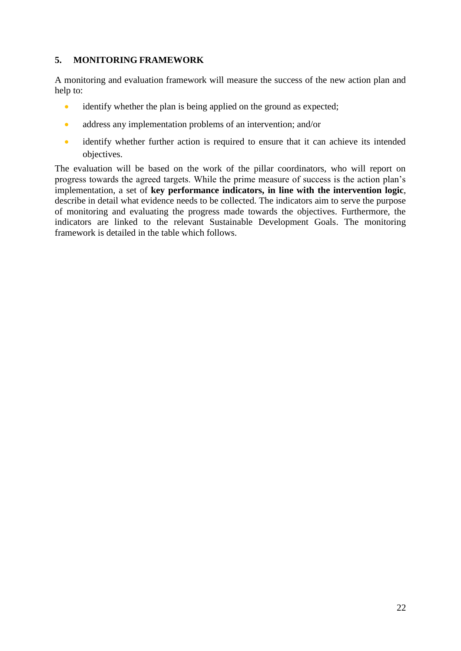# <span id="page-22-0"></span>**5. MONITORING FRAMEWORK**

A monitoring and evaluation framework will measure the success of the new action plan and help to:

- identify whether the plan is being applied on the ground as expected;
- address any implementation problems of an intervention; and/or
- identify whether further action is required to ensure that it can achieve its intended objectives.

The evaluation will be based on the work of the pillar coordinators, who will report on progress towards the agreed targets. While the prime measure of success is the action plan's implementation, a set of **key performance indicators, in line with the intervention logic**, describe in detail what evidence needs to be collected. The indicators aim to serve the purpose of monitoring and evaluating the progress made towards the objectives. Furthermore, the indicators are linked to the relevant Sustainable Development Goals. The monitoring framework is detailed in the table which follows.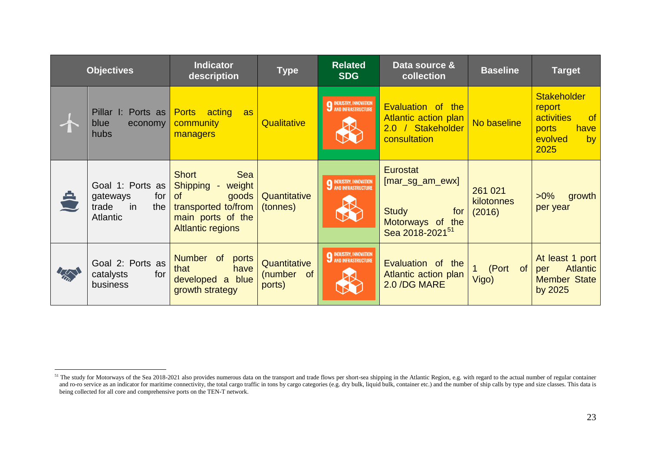| <b>Objectives</b> |                                                                              | <b>Indicator</b><br>description                                                                                                                       | <b>Type</b>                                        | <b>Related</b><br><b>SDG</b>                                 | Data source &<br>collection                                                                              | <b>Baseline</b>                 | <b>Target</b>                                                                                                  |
|-------------------|------------------------------------------------------------------------------|-------------------------------------------------------------------------------------------------------------------------------------------------------|----------------------------------------------------|--------------------------------------------------------------|----------------------------------------------------------------------------------------------------------|---------------------------------|----------------------------------------------------------------------------------------------------------------|
|                   | Pillar I: Ports as<br>blue<br>economy<br>hubs                                | acting<br><b>Ports</b><br>as<br>community<br>managers                                                                                                 | Qualitative                                        | <b>9</b> INDUSTRY, INNOVATION<br>AND INFRASTRUCTURE          | Evaluation of the<br>Atlantic action plan<br>2.0 / Stakeholder<br>consultation                           | No baseline                     | <b>Stakeholder</b><br>report<br><b>activities</b><br>of<br>have<br>ports<br>evolved<br>by <sub>1</sub><br>2025 |
|                   | Goal 1: Ports as<br>for<br>gateways<br>trade<br>in<br>the<br><b>Atlantic</b> | <b>Sea</b><br><b>Short</b><br><b>Shipping</b><br>weight<br>$\circ$ f<br>goods<br>transported to/from<br>main ports of the<br><b>Altlantic regions</b> | Quantitative<br>(tonnes)                           | <b>9 INDUSTRY, INNOVATION</b><br><b>4 AND INFRASTRUCTURE</b> | Eurostat<br>$[mar_sg_{am}ewx]$<br><b>Study</b><br>for<br>Motorways of the<br>Sea 2018-2021 <sup>51</sup> | 261 021<br>kilotonnes<br>(2016) | $>0\%$<br>growth<br>per year                                                                                   |
| $\sqrt{N}$        | Goal 2: Ports as<br>catalysts<br>for<br>business                             | Number of<br>ports<br>have<br>that<br>developed a<br>blue<br>growth strategy                                                                          | Quantitative<br>(number<br><sub>of</sub><br>ports) | <b>9 INDUSTRY, INNOVATION<br/>AND INFRASTRUCTURE</b>         | Evaluation of the<br>Atlantic action plan<br>2.0 /DG MARE                                                | (Port<br><b>of</b><br>Vigo)     | At least 1 port<br><b>Atlantic</b><br>per<br><b>Member State</b><br>by 2025                                    |

 $\overline{a}$ 

<sup>&</sup>lt;sup>51</sup> The study for Motorways of the Sea 2018-2021 also provides numerous data on the transport and trade flows per short-sea shipping in the Atlantic Region, e.g. with regard to the actual number of regular container and ro-ro service as an indicator for maritime connectivity, the total cargo traffic in tons by cargo categories (e.g. dry bulk, liquid bulk, container etc.) and the number of ship calls by type and size classes. This data being collected for all core and comprehensive ports on the TEN-T network.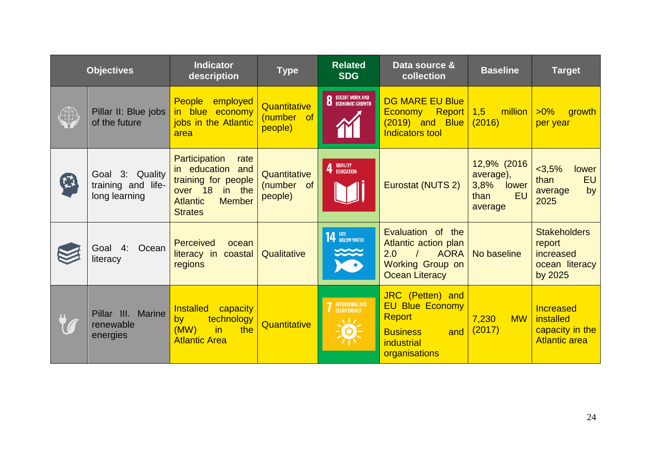| <b>Objectives</b> |                                                        | <b>Indicator</b><br>description                                                                                                          | <b>Type</b>                           | <b>Related</b><br><b>SDG</b>                         | Data source &<br>collection                                                                                          | <b>Baseline</b>                                                            | <b>Target</b>                                                           |
|-------------------|--------------------------------------------------------|------------------------------------------------------------------------------------------------------------------------------------------|---------------------------------------|------------------------------------------------------|----------------------------------------------------------------------------------------------------------------------|----------------------------------------------------------------------------|-------------------------------------------------------------------------|
| $\bigoplus$       | Pillar II: Blue jobs<br>of the future                  | <b>People</b><br>employed<br>in blue economy<br>jobs in the Atlantic<br>area                                                             | Quantitative<br>(number of<br>people) | <b>8</b> DECENT WORK AND ECONOMIC GROWTH             | <b>DG MARE EU Blue</b><br>Economy Report<br>$(2019)$ and Blue<br>Indicators tool                                     | 1,5<br>million<br>(2016)                                                   | $>0\%$<br>growth<br>per year                                            |
| $\mathfrak{L}$    | Goal 3: Quality<br>training and life-<br>long learning | Participation<br>rate<br>in education and<br>training for people<br>over 18 in the<br><b>Atlantic</b><br><b>Member</b><br><b>Strates</b> | Quantitative<br>(number of<br>people) | QUALITY<br>Education                                 | Eurostat (NUTS 2)                                                                                                    | 12,9% (2016)<br>average),<br>3,8%<br>lower<br><b>EU</b><br>than<br>average | $<3,5\%$<br>lower<br><b>EU</b><br>than<br>by<br>average<br>2025         |
|                   | Goal 4: Ocean<br>literacy                              | <b>Perceived</b><br>ocean<br>literacy in<br>coastal<br>regions                                                                           | Qualitative                           | <b>14 LIFE</b> BELOW WATER<br>$\approx$<br><b>KO</b> | Evaluation of the<br>Atlantic action plan<br><b>AORA</b><br>2.0<br><b>Working Group on</b><br><b>Ocean Literacy</b>  | No baseline                                                                | <b>Stakeholders</b><br>report<br>increased<br>ocean literacy<br>by 2025 |
|                   | Pillar III. Marine<br>renewable<br>energies            | Installed capacity<br>technology<br>by<br>(MW)<br>the<br>in.<br><b>Atlantic Area</b>                                                     | Quantitative                          | AFFORDABLE AND<br>CLEAN ENERGY<br>$\Delta$ 1.7       | JRC (Petten) and<br><b>EU Blue Economy</b><br>Report<br><b>Business</b><br>and<br><i>industrial</i><br>organisations | 7,230<br><b>MW</b><br>(2017)                                               | Increased<br>installed<br>capacity in the<br><b>Atlantic area</b>       |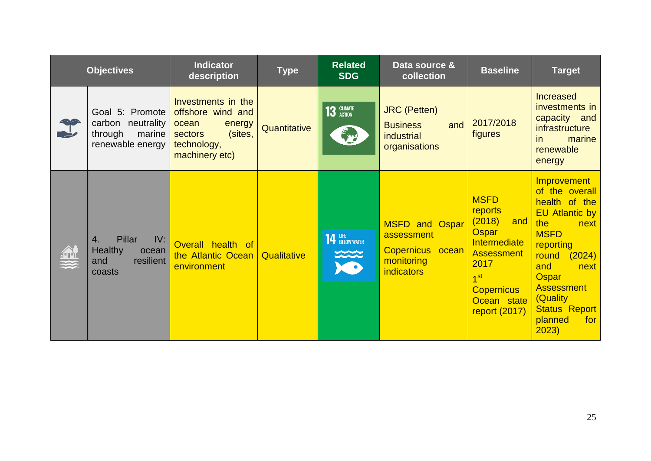| <b>Objectives</b> |                                                                               | <b>Indicator</b><br>description                                                                                          | <b>Type</b>  | <b>Related</b><br><b>SDG</b>                           | Data source &<br>collection                                                                | <b>Baseline</b>                                                                                                                                                              | <b>Target</b>                                                                                                                                                                                                                                                   |
|-------------------|-------------------------------------------------------------------------------|--------------------------------------------------------------------------------------------------------------------------|--------------|--------------------------------------------------------|--------------------------------------------------------------------------------------------|------------------------------------------------------------------------------------------------------------------------------------------------------------------------------|-----------------------------------------------------------------------------------------------------------------------------------------------------------------------------------------------------------------------------------------------------------------|
|                   | Goal 5: Promote<br>carbon neutrality<br>through<br>marine<br>renewable energy | Investments in the<br>offshore wind and<br>ocean<br>energy<br>(sites,<br><b>sectors</b><br>technology,<br>machinery etc) | Quantitative | 13 GLIMATE<br>E                                        | <b>JRC</b> (Petten)<br><b>Business</b><br>and<br><i>industrial</i><br>organisations        | 2017/2018<br>figures                                                                                                                                                         | <b>Increased</b><br>investments in<br>capacity and<br>infrastructure<br>in.<br>marine<br>renewable<br>energy                                                                                                                                                    |
|                   | Pillar<br>IV:<br>4.<br><b>Healthy</b><br>ocean<br>resilient<br>and<br>coasts  | Overall health of<br>the Atlantic Ocean<br>environment                                                                   | Qualitative  | <b>14 LIFE</b> BELOW WATER<br>$rac{1}{2}$<br><b>XO</b> | <b>MSFD and Ospar</b><br>assessment<br>Copernicus ocean<br>monitoring<br><i>indicators</i> | <b>MSFD</b><br><b>reports</b><br>(2018)<br>and<br>Ospar<br>Intermediate<br><b>Assessment</b><br>2017<br>1 <sup>st</sup><br><b>Copernicus</b><br>Ocean state<br>report (2017) | <b>Improvement</b><br>of the overall<br>health of the<br><b>EU Atlantic by</b><br>the<br>next<br><b>MSFD</b><br>reporting<br>(2024)<br>round<br>and<br>next<br><b>Ospar</b><br><b>Assessment</b><br>(Quality<br><b>Status Report</b><br>planned<br>for<br>2023) |